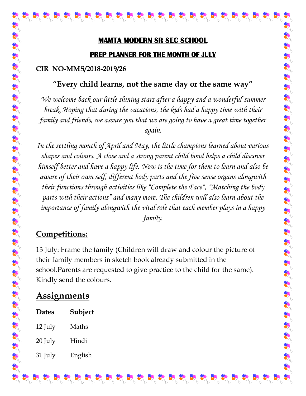# **MAMTA MODERN SR SEC SCHOOL PREP PLANNER FOR THE MONTH OF JULY**

#### **CIR NO-MMS/2018-2019/26**

#### **"Every child learns, not the same day or the same way"**

*We welcome back our little shining stars after a happy and a wonderful summer break. Hoping that during the vacations, the kids had a happy time with their again.*

**Family and friends, we are going to the same way"**<br> **Family and friends, and friends, and friends, and friends, we are going to the same way"<br>** *He we forme back***, our fittle stiming stars after a fanyy and a wonderful sta** *In the settling month of April and May, the little champions learned about various shapes and colours. A close and a strong parent child bond helps a child discover himself better and have a happy life. Now is the time for them to learn and also be aware of their own self, different body parts and the five sense organs alongwith their functions through activities like "Complete the Face", "Matching the body parts with their actions" and many more. The children will also learn about the importance of family alongwith the vital role that each member plays in a happy family.*

### **Competitions:**

13 July: Frame the family (Children will draw and colour the picture of their family members in sketch book already submitted in the school.Parents are requested to give practice to the child for the same). Kindly send the colours.

## **Assignments**

| <b>Dates</b> | Subject |
|--------------|---------|
| 12 July      | Maths   |
| 20 July      | Hindi   |
| 31 July      | English |